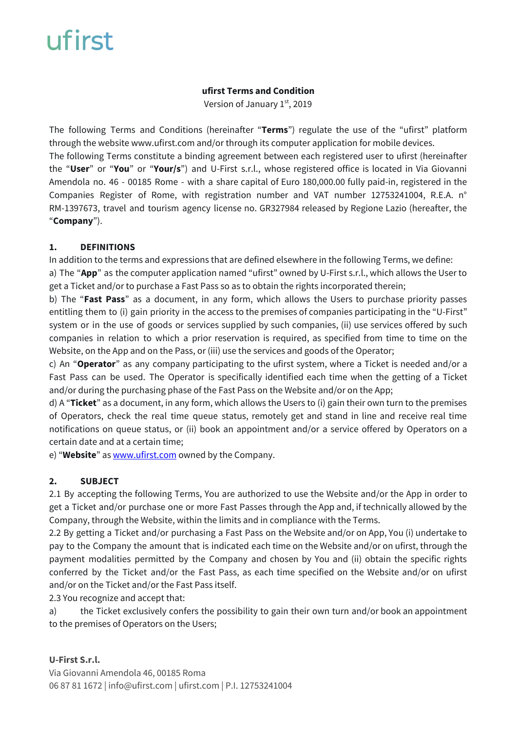#### **ufirst Terms and Condition**

Version of January 1st, 2019

The following Terms and Conditions (hereinafter "**Terms**") regulate the use of the "ufirst" platform through the website www.ufirst.com and/or through its computer application for mobile devices. The following Terms constitute a binding agreement between each registered user to ufirst (hereinafter the "**User**" or "**You**" or "**Your/s**") and U-First s.r.l., whose registered office is located in Via Giovanni Amendola no. 46 - 00185 Rome - with a share capital of Euro 180,000.00 fully paid-in, registered in the Companies Register of Rome, with registration number and VAT number 12753241004, R.E.A. n° RM-1397673, travel and tourism agency license no. GR327984 released by Regione Lazio (hereafter, the "**Company**").

### **1. DEFINITIONS**

In addition to the terms and expressions that are defined elsewhere in the following Terms, we define: a) The "**App**" as the computer application named "ufirst" owned by U-First s.r.l., which allows the User to get a Ticket and/or to purchase a Fast Pass so as to obtain the rights incorporated therein;

b) The "**Fast Pass**" as a document, in any form, which allows the Users to purchase priority passes entitling them to (i) gain priority in the access to the premises of companies participating in the "U-First" system or in the use of goods or services supplied by such companies, (ii) use services offered by such companies in relation to which a prior reservation is required, as specified from time to time on the Website, on the App and on the Pass, or (iii) use the services and goods of the Operator;

c) An "**Operator**" as any company participating to the ufirst system, where a Ticket is needed and/or a Fast Pass can be used. The Operator is specifically identified each time when the getting of a Ticket and/or during the purchasing phase of the Fast Pass on the Website and/or on the App;

d) A "**Ticket**" as a document, in any form, which allows the Users to (i) gain their own turn to the premises of Operators, check the real time queue status, remotely get and stand in line and receive real time notifications on queue status, or (ii) book an appointment and/or a service offered by Operators on a certain date and at a certain time;

e) "**Website**" as [www.ufirst.com](http://www.ufirst.com/) owned by the Company.

### **2. SUBJECT**

2.1 By accepting the following Terms, You are authorized to use the Website and/or the App in order to get a Ticket and/or purchase one or more Fast Passes through the App and, if technically allowed by the Company, through the Website, within the limits and in compliance with the Terms.

2.2 By getting a Ticket and/or purchasing a Fast Pass on the Website and/or on App, You (i) undertake to pay to the Company the amount that is indicated each time on the Website and/or on ufirst, through the payment modalities permitted by the Company and chosen by You and (ii) obtain the specific rights conferred by the Ticket and/or the Fast Pass, as each time specified on the Website and/or on ufirst and/or on the Ticket and/or the Fast Pass itself.

2.3 You recognize and accept that:

a) the Ticket exclusively confers the possibility to gain their own turn and/or book an appointment to the premises of Operators on the Users;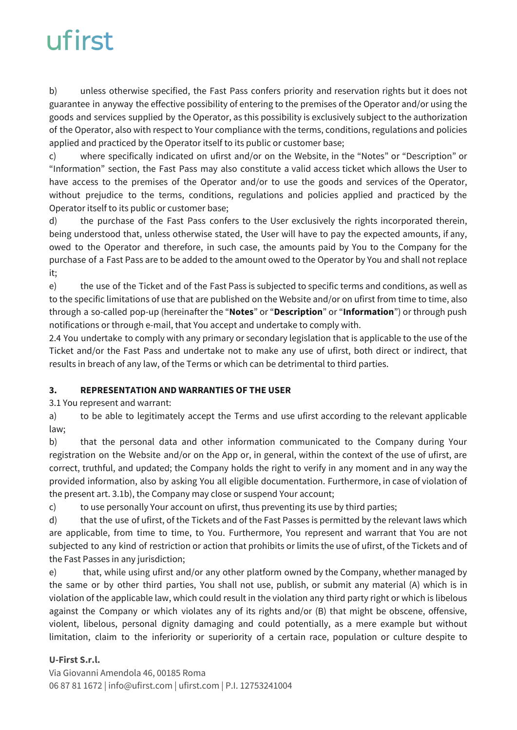b) unless otherwise specified, the Fast Pass confers priority and reservation rights but it does not guarantee in anyway the effective possibility of entering to the premises of the Operator and/or using the goods and services supplied by the Operator, as this possibility is exclusively subject to the authorization of the Operator, also with respect to Your compliance with the terms, conditions, regulations and policies applied and practiced by the Operator itself to its public or customer base;

c) where specifically indicated on ufirst and/or on the Website, in the "Notes" or "Description" or "Information" section, the Fast Pass may also constitute a valid access ticket which allows the User to have access to the premises of the Operator and/or to use the goods and services of the Operator, without prejudice to the terms, conditions, regulations and policies applied and practiced by the Operator itself to its public or customer base;

d) the purchase of the Fast Pass confers to the User exclusively the rights incorporated therein, being understood that, unless otherwise stated, the User will have to pay the expected amounts, if any, owed to the Operator and therefore, in such case, the amounts paid by You to the Company for the purchase of a Fast Pass are to be added to the amount owed to the Operator by You and shall not replace it;

e) the use of the Ticket and of the Fast Pass is subjected to specific terms and conditions, as well as to the specific limitations of use that are published on the Website and/or on ufirst from time to time, also through a so-called pop-up (hereinafter the "**Notes**" or "**Description**" or "**Information**") or through push notifications or through e-mail, that You accept and undertake to comply with.

2.4 You undertake to comply with any primary or secondary legislation that is applicable to the use of the Ticket and/or the Fast Pass and undertake not to make any use of ufirst, both direct or indirect, that results in breach of any law, of the Terms or which can be detrimental to third parties.

### **3. REPRESENTATION AND WARRANTIES OF THE USER**

3.1 You represent and warrant:

a) to be able to legitimately accept the Terms and use ufirst according to the relevant applicable law;

b) that the personal data and other information communicated to the Company during Your registration on the Website and/or on the App or, in general, within the context of the use of ufirst, are correct, truthful, and updated; the Company holds the right to verify in any moment and in any way the provided information, also by asking You all eligible documentation. Furthermore, in case of violation of the present art. 3.1b), the Company may close or suspend Your account;

c) to use personally Your account on ufirst, thus preventing its use by third parties;

d) that the use of ufirst, of the Tickets and of the Fast Passes is permitted by the relevant laws which are applicable, from time to time, to You. Furthermore, You represent and warrant that You are not subjected to any kind of restriction or action that prohibits or limits the use of ufirst, of the Tickets and of the Fast Passes in any jurisdiction;

e) that, while using ufirst and/or any other platform owned by the Company, whether managed by the same or by other third parties, You shall not use, publish, or submit any material (A) which is in violation of the applicable law, which could result in the violation any third party right or which is libelous against the Company or which violates any of its rights and/or (B) that might be obscene, offensive, violent, libelous, personal dignity damaging and could potentially, as a mere example but without limitation, claim to the inferiority or superiority of a certain race, population or culture despite to

### **U-First S.r.l.**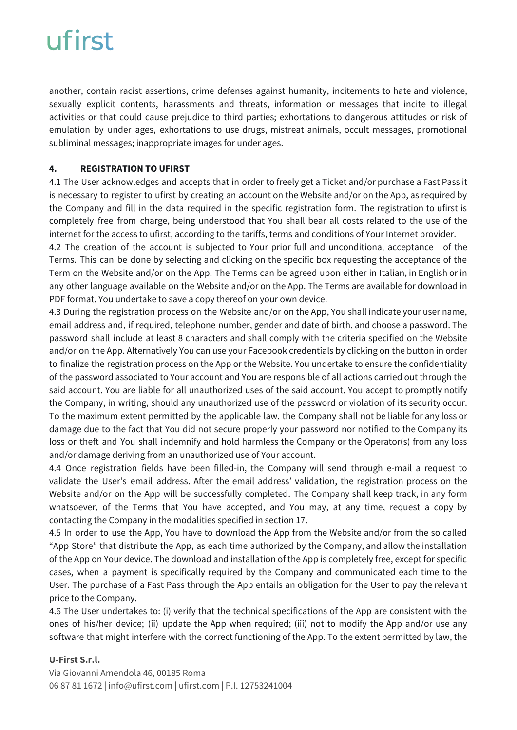another, contain racist assertions, crime defenses against humanity, incitements to hate and violence, sexually explicit contents, harassments and threats, information or messages that incite to illegal activities or that could cause prejudice to third parties; exhortations to dangerous attitudes or risk of emulation by under ages, exhortations to use drugs, mistreat animals, occult messages, promotional subliminal messages; inappropriate images for under ages.

### **4. REGISTRATION TO UFIRST**

4.1 The User acknowledges and accepts that in order to freely get a Ticket and/or purchase a Fast Pass it is necessary to register to ufirst by creating an account on the Website and/or on the App, as required by the Company and fill in the data required in the specific registration form. The registration to ufirst is completely free from charge, being understood that You shall bear all costs related to the use of the internet for the access to ufirst, according to the tariffs, terms and conditions of Your Internet provider.

4.2 The creation of the account is subjected to Your prior full and unconditional acceptance of the Terms. This can be done by selecting and clicking on the specific box requesting the acceptance of the Term on the Website and/or on the App. The Terms can be agreed upon either in Italian, in English or in any other language available on the Website and/or on the App. The Terms are available for download in PDF format. You undertake to save a copy thereof on your own device.

4.3 During the registration process on the Website and/or on the App, You shall indicate your user name, email address and, if required, telephone number, gender and date of birth, and choose a password. The password shall include at least 8 characters and shall comply with the criteria specified on the Website and/or on the App. Alternatively You can use your Facebook credentials by clicking on the button in order to finalize the registration process on the App or the Website. You undertake to ensure the confidentiality of the password associated to Your account and You are responsible of all actions carried out through the said account. You are liable for all unauthorized uses of the said account. You accept to promptly notify the Company, in writing, should any unauthorized use of the password or violation of its security occur. To the maximum extent permitted by the applicable law, the Company shall not be liable for any loss or damage due to the fact that You did not secure properly your password nor notified to the Company its loss or theft and You shall indemnify and hold harmless the Company or the Operator(s) from any loss and/or damage deriving from an unauthorized use of Your account.

4.4 Once registration fields have been filled-in, the Company will send through e-mail a request to validate the User's email address. After the email address' validation, the registration process on the Website and/or on the App will be successfully completed. The Company shall keep track, in any form whatsoever, of the Terms that You have accepted, and You may, at any time, request a copy by contacting the Company in the modalities specified in section 17.

4.5 In order to use the App, You have to download the App from the Website and/or from the so called "App Store" that distribute the App, as each time authorized by the Company, and allow the installation of the App on Your device. The download and installation of the App is completely free, except for specific cases, when a payment is specifically required by the Company and communicated each time to the User. The purchase of a Fast Pass through the App entails an obligation for the User to pay the relevant price to the Company.

4.6 The User undertakes to: (i) verify that the technical specifications of the App are consistent with the ones of his/her device; (ii) update the App when required; (iii) not to modify the App and/or use any software that might interfere with the correct functioning of the App. To the extent permitted by law, the

### **U-First S.r.l.**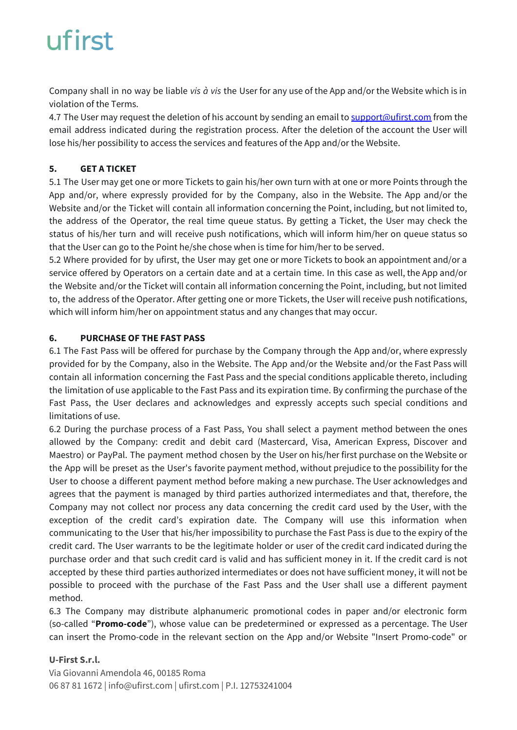Company shall in no way be liable *vis à vis* the User for any use of the App and/or the Website which is in violation of the Terms.

4.7 The User may request the deletion of his account by sending an email to [support@ufirst.com](mailto:support@ufirst.com) from the email address indicated during the registration process. After the deletion of the account the User will lose his/her possibility to access the services and features of the App and/or the Website.

### **5. GET A TICKET**

5.1 The User may get one or more Tickets to gain his/her own turn with at one or more Points through the App and/or, where expressly provided for by the Company, also in the Website. The App and/or the Website and/or the Ticket will contain all information concerning the Point, including, but not limited to, the address of the Operator, the real time queue status. By getting a Ticket, the User may check the status of his/her turn and will receive push notifications, which will inform him/her on queue status so that the User can go to the Point he/she chose when is time for him/her to be served.

5.2 Where provided for by ufirst, the User may get one or more Tickets to book an appointment and/or a service offered by Operators on a certain date and at a certain time. In this case as well, the App and/or the Website and/or the Ticket will contain all information concerning the Point, including, but not limited to, the address of the Operator. After getting one or more Tickets, the User will receive push notifications, which will inform him/her on appointment status and any changes that may occur.

### **6. PURCHASE OF THE FAST PASS**

6.1 The Fast Pass will be offered for purchase by the Company through the App and/or, where expressly provided for by the Company, also in the Website. The App and/or the Website and/or the Fast Pass will contain all information concerning the Fast Pass and the special conditions applicable thereto, including the limitation of use applicable to the Fast Pass and its expiration time. By confirming the purchase of the Fast Pass, the User declares and acknowledges and expressly accepts such special conditions and limitations of use.

6.2 During the purchase process of a Fast Pass, You shall select a payment method between the ones allowed by the Company: credit and debit card (Mastercard, Visa, American Express, Discover and Maestro) or PayPal. The payment method chosen by the User on his/her first purchase on the Website or the App will be preset as the User's favorite payment method, without prejudice to the possibility for the User to choose a different payment method before making a new purchase. The User acknowledges and agrees that the payment is managed by third parties authorized intermediates and that, therefore, the Company may not collect nor process any data concerning the credit card used by the User, with the exception of the credit card's expiration date. The Company will use this information when communicating to the User that his/her impossibility to purchase the Fast Pass is due to the expiry of the credit card. The User warrants to be the legitimate holder or user of the credit card indicated during the purchase order and that such credit card is valid and has sufficient money in it. If the credit card is not accepted by these third parties authorized intermediates or does not have sufficient money, it will not be possible to proceed with the purchase of the Fast Pass and the User shall use a different payment method.

6.3 The Company may distribute alphanumeric promotional codes in paper and/or electronic form (so-called "**Promo-code**"), whose value can be predetermined or expressed as a percentage. The User can insert the Promo-code in the relevant section on the App and/or Website "Insert Promo-code" or

### **U-First S.r.l.**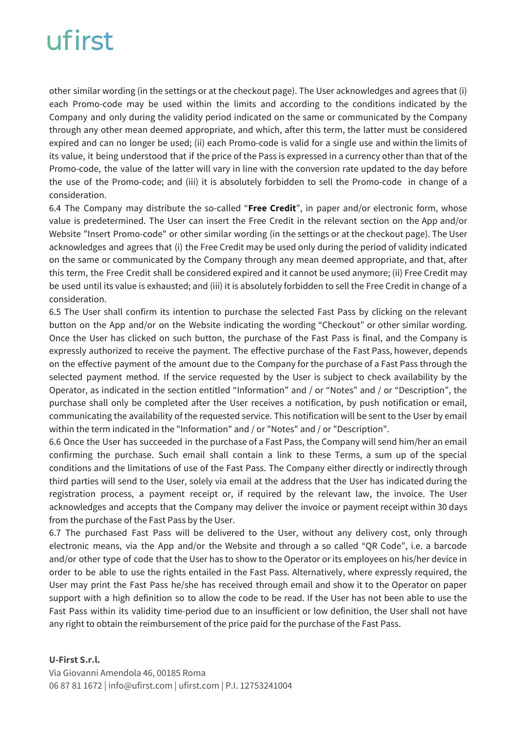other similar wording (in the settings or at the checkout page). The User acknowledges and agrees that (i) each Promo-code may be used within the limits and according to the conditions indicated by the Company and only during the validity period indicated on the same or communicated by the Company through any other mean deemed appropriate, and which, after this term, the latter must be considered expired and can no longer be used; (ii) each Promo-code is valid for a single use and within the limits of its value, it being understood that if the price of the Pass is expressed in a currency other than that of the Promo-code, the value of the latter will vary in line with the conversion rate updated to the day before the use of the Promo-code; and (iii) it is absolutely forbidden to sell the Promo-code in change of a consideration.

6.4 The Company may distribute the so-called "**Free Credit**", in paper and/or electronic form, whose value is predetermined. The User can insert the Free Credit in the relevant section on the App and/or Website "Insert Promo-code" or other similar wording (in the settings or at the checkout page). The User acknowledges and agrees that (i) the Free Credit may be used only during the period of validity indicated on the same or communicated by the Company through any mean deemed appropriate, and that, after this term, the Free Credit shall be considered expired and it cannot be used anymore; (ii) Free Credit may be used until its value is exhausted; and (iii) it is absolutely forbidden to sell the Free Credit in change of a consideration.

6.5 The User shall confirm its intention to purchase the selected Fast Pass by clicking on the relevant button on the App and/or on the Website indicating the wording "Checkout" or other similar wording. Once the User has clicked on such button, the purchase of the Fast Pass is final, and the Company is expressly authorized to receive the payment. The effective purchase of the Fast Pass, however, depends on the effective payment of the amount due to the Company for the purchase of a Fast Pass through the selected payment method. If the service requested by the User is subject to check availability by the Operator, as indicated in the section entitled "Information" and / or "Notes" and / or "Description", the purchase shall only be completed after the User receives a notification, by push notification or email, communicating the availability of the requested service. This notification will be sent to the User by email within the term indicated in the "Information" and / or "Notes" and / or "Description".

6.6 Once the User has succeeded in the purchase of a Fast Pass, the Company will send him/her an email confirming the purchase. Such email shall contain a link to these Terms, a sum up of the special conditions and the limitations of use of the Fast Pass. The Company either directly or indirectly through third parties will send to the User, solely via email at the address that the User has indicated during the registration process, a payment receipt or, if required by the relevant law, the invoice. The User acknowledges and accepts that the Company may deliver the invoice or payment receipt within 30 days from the purchase of the Fast Pass by the User.

6.7 The purchased Fast Pass will be delivered to the User, without any delivery cost, only through electronic means, via the App and/or the Website and through a so called "QR Code", i.e. a barcode and/or other type of code that the User has to show to the Operator or its employees on his/her device in order to be able to use the rights entailed in the Fast Pass. Alternatively, where expressly required, the User may print the Fast Pass he/she has received through email and show it to the Operator on paper support with a high definition so to allow the code to be read. If the User has not been able to use the Fast Pass within its validity time-period due to an insufficient or low definition, the User shall not have any right to obtain the reimbursement of the price paid for the purchase of the Fast Pass.

#### **U-First S.r.l.**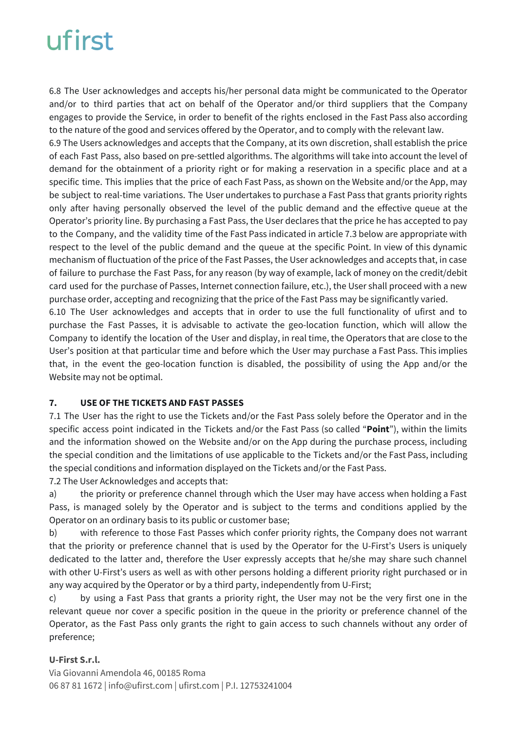6.8 The User acknowledges and accepts his/her personal data might be communicated to the Operator and/or to third parties that act on behalf of the Operator and/or third suppliers that the Company engages to provide the Service, in order to benefit of the rights enclosed in the Fast Pass also according to the nature of the good and services offered by the Operator, and to comply with the relevant law.

6.9 The Users acknowledges and accepts that the Company, at its own discretion, shall establish the price of each Fast Pass, also based on pre-settled algorithms. The algorithms will take into account the level of demand for the obtainment of a priority right or for making a reservation in a specific place and at a specific time. This implies that the price of each Fast Pass, as shown on the Website and/or the App, may be subject to real-time variations. The User undertakes to purchase a Fast Pass that grants priority rights only after having personally observed the level of the public demand and the effective queue at the Operator's priority line. By purchasing a Fast Pass, the User declares that the price he has accepted to pay to the Company, and the validity time of the Fast Pass indicated in article 7.3 below are appropriate with respect to the level of the public demand and the queue at the specific Point. In view of this dynamic mechanism of fluctuation of the price of the Fast Passes, the User acknowledges and accepts that, in case of failure to purchase the Fast Pass, for any reason (by way of example, lack of money on the credit/debit card used for the purchase of Passes, Internet connection failure, etc.), the User shall proceed with a new purchase order, accepting and recognizing that the price of the Fast Pass may be significantly varied.

6.10 The User acknowledges and accepts that in order to use the full functionality of ufirst and to purchase the Fast Passes, it is advisable to activate the geo-location function, which will allow the Company to identify the location of the User and display, in real time, the Operators that are close to the User's position at that particular time and before which the User may purchase a Fast Pass. This implies that, in the event the geo-location function is disabled, the possibility of using the App and/or the Website may not be optimal.

### **7. USE OF THE TICKETS AND FAST PASSES**

7.1 The User has the right to use the Tickets and/or the Fast Pass solely before the Operator and in the specific access point indicated in the Tickets and/or the Fast Pass (so called "**Point**"), within the limits and the information showed on the Website and/or on the App during the purchase process, including the special condition and the limitations of use applicable to the Tickets and/or the Fast Pass, including the special conditions and information displayed on the Tickets and/or the Fast Pass.

7.2 The User Acknowledges and accepts that:

a) the priority or preference channel through which the User may have access when holding a Fast Pass, is managed solely by the Operator and is subject to the terms and conditions applied by the Operator on an ordinary basis to its public or customer base;

b) with reference to those Fast Passes which confer priority rights, the Company does not warrant that the priority or preference channel that is used by the Operator for the U-First's Users is uniquely dedicated to the latter and, therefore the User expressly accepts that he/she may share such channel with other U-First's users as well as with other persons holding a different priority right purchased or in any way acquired by the Operator or by a third party, independently from U-First;

c) by using a Fast Pass that grants a priority right, the User may not be the very first one in the relevant queue nor cover a specific position in the queue in the priority or preference channel of the Operator, as the Fast Pass only grants the right to gain access to such channels without any order of preference;

### **U-First S.r.l.**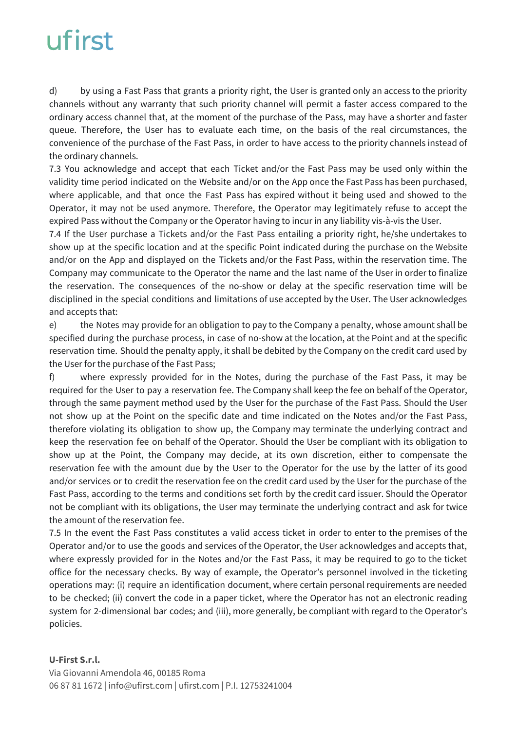d) by using a Fast Pass that grants a priority right, the User is granted only an access to the priority channels without any warranty that such priority channel will permit a faster access compared to the ordinary access channel that, at the moment of the purchase of the Pass, may have a shorter and faster queue. Therefore, the User has to evaluate each time, on the basis of the real circumstances, the convenience of the purchase of the Fast Pass, in order to have access to the priority channels instead of the ordinary channels.

7.3 You acknowledge and accept that each Ticket and/or the Fast Pass may be used only within the validity time period indicated on the Website and/or on the App once the Fast Pass has been purchased, where applicable, and that once the Fast Pass has expired without it being used and showed to the Operator, it may not be used anymore. Therefore, the Operator may legitimately refuse to accept the expired Pass without the Company or the Operator having to incur in any liability vis-à-vis the User.

7.4 If the User purchase a Tickets and/or the Fast Pass entailing a priority right, he/she undertakes to show up at the specific location and at the specific Point indicated during the purchase on the Website and/or on the App and displayed on the Tickets and/or the Fast Pass, within the reservation time. The Company may communicate to the Operator the name and the last name of the User in order to finalize the reservation. The consequences of the no-show or delay at the specific reservation time will be disciplined in the special conditions and limitations of use accepted by the User. The User acknowledges and accepts that:

e) the Notes may provide for an obligation to pay to the Company a penalty, whose amount shall be specified during the purchase process, in case of no-show at the location, at the Point and at the specific reservation time. Should the penalty apply, it shall be debited by the Company on the credit card used by the User for the purchase of the Fast Pass;

f) where expressly provided for in the Notes, during the purchase of the Fast Pass, it may be required for the User to pay a reservation fee. The Company shall keep the fee on behalf of the Operator, through the same payment method used by the User for the purchase of the Fast Pass. Should the User not show up at the Point on the specific date and time indicated on the Notes and/or the Fast Pass, therefore violating its obligation to show up, the Company may terminate the underlying contract and keep the reservation fee on behalf of the Operator. Should the User be compliant with its obligation to show up at the Point, the Company may decide, at its own discretion, either to compensate the reservation fee with the amount due by the User to the Operator for the use by the latter of its good and/or services or to credit the reservation fee on the credit card used by the User for the purchase of the Fast Pass, according to the terms and conditions set forth by the credit card issuer. Should the Operator not be compliant with its obligations, the User may terminate the underlying contract and ask for twice the amount of the reservation fee.

7.5 In the event the Fast Pass constitutes a valid access ticket in order to enter to the premises of the Operator and/or to use the goods and services of the Operator, the User acknowledges and accepts that, where expressly provided for in the Notes and/or the Fast Pass, it may be required to go to the ticket office for the necessary checks. By way of example, the Operator's personnel involved in the ticketing operations may: (i) require an identification document, where certain personal requirements are needed to be checked; (ii) convert the code in a paper ticket, where the Operator has not an electronic reading system for 2-dimensional bar codes; and (iii), more generally, be compliant with regard to the Operator's policies.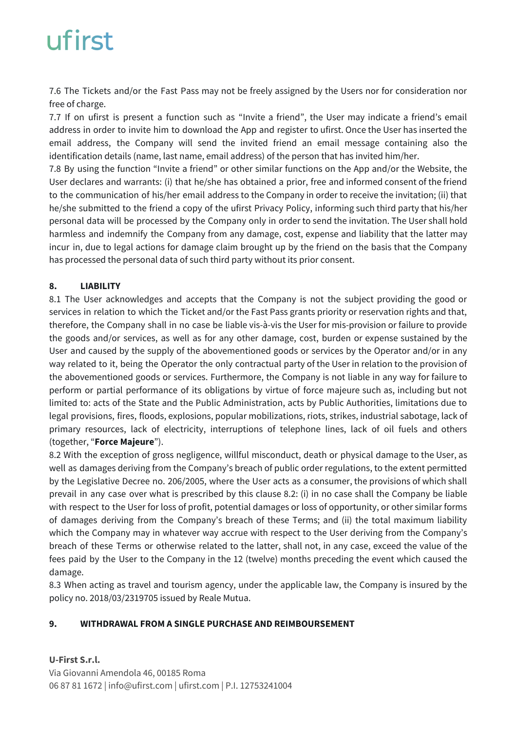7.6 The Tickets and/or the Fast Pass may not be freely assigned by the Users nor for consideration nor free of charge.

7.7 If on ufirst is present a function such as "Invite a friend", the User may indicate a friend's email address in order to invite him to download the App and register to ufirst. Once the User has inserted the email address, the Company will send the invited friend an email message containing also the identification details (name, last name, email address) of the person that has invited him/her.

7.8 By using the function "Invite a friend" or other similar functions on the App and/or the Website, the User declares and warrants: (i) that he/she has obtained a prior, free and informed consent of the friend to the communication of his/her email address to the Company in order to receive the invitation; (ii) that he/she submitted to the friend a copy of the ufirst Privacy Policy, informing such third party that his/her personal data will be processed by the Company only in order to send the invitation. The User shall hold harmless and indemnify the Company from any damage, cost, expense and liability that the latter may incur in, due to legal actions for damage claim brought up by the friend on the basis that the Company has processed the personal data of such third party without its prior consent.

### **8. LIABILITY**

8.1 The User acknowledges and accepts that the Company is not the subject providing the good or services in relation to which the Ticket and/or the Fast Pass grants priority or reservation rights and that, therefore, the Company shall in no case be liable vis-à-vis the User for mis-provision or failure to provide the goods and/or services, as well as for any other damage, cost, burden or expense sustained by the User and caused by the supply of the abovementioned goods or services by the Operator and/or in any way related to it, being the Operator the only contractual party of the User in relation to the provision of the abovementioned goods or services. Furthermore, the Company is not liable in any way for failure to perform or partial performance of its obligations by virtue of force majeure such as, including but not limited to: acts of the State and the Public Administration, acts by Public Authorities, limitations due to legal provisions, fires, floods, explosions, popular mobilizations, riots, strikes, industrial sabotage, lack of primary resources, lack of electricity, interruptions of telephone lines, lack of oil fuels and others (together, "**Force Majeure**").

8.2 With the exception of gross negligence, willful misconduct, death or physical damage to the User, as well as damages deriving from the Company's breach of public order regulations, to the extent permitted by the Legislative Decree no. 206/2005, where the User acts as a consumer, the provisions of which shall prevail in any case over what is prescribed by this clause 8.2: (i) in no case shall the Company be liable with respect to the User for loss of profit, potential damages or loss of opportunity, or other similar forms of damages deriving from the Company's breach of these Terms; and (ii) the total maximum liability which the Company may in whatever way accrue with respect to the User deriving from the Company's breach of these Terms or otherwise related to the latter, shall not, in any case, exceed the value of the fees paid by the User to the Company in the 12 (twelve) months preceding the event which caused the damage.

8.3 When acting as travel and tourism agency, under the applicable law, the Company is insured by the policy no. 2018/03/2319705 issued by Reale Mutua.

### **9. WITHDRAWAL FROM A SINGLE PURCHASE AND REIMBOURSEMENT**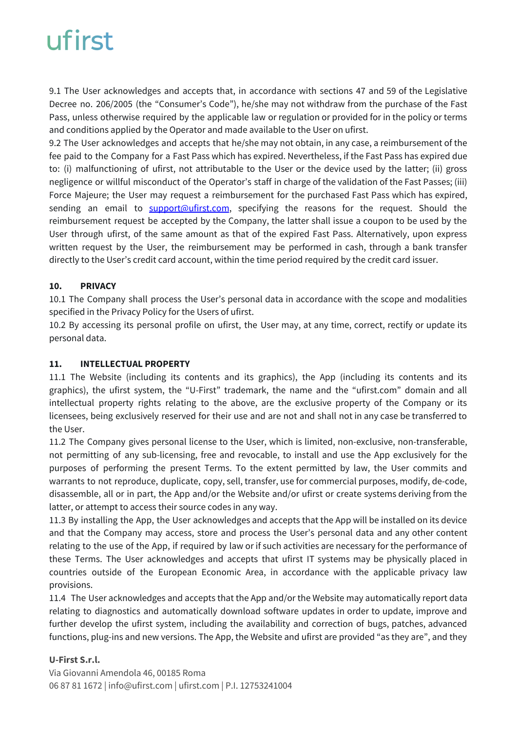9.1 The User acknowledges and accepts that, in accordance with sections 47 and 59 of the Legislative Decree no. 206/2005 (the "Consumer's Code"), he/she may not withdraw from the purchase of the Fast Pass, unless otherwise required by the applicable law or regulation or provided for in the policy or terms and conditions applied by the Operator and made available to the User on ufirst.

9.2 The User acknowledges and accepts that he/she may not obtain, in any case, a reimbursement of the fee paid to the Company for a Fast Pass which has expired. Nevertheless, if the Fast Pass has expired due to: (i) malfunctioning of ufirst, not attributable to the User or the device used by the latter; (ii) gross negligence or willful misconduct of the Operator's staff in charge of the validation of the Fast Passes; (iii) Force Majeure; the User may request a reimbursement for the purchased Fast Pass which has expired, sending an email to **[support@ufirst.com](mailto:support@ufirst.com)**, specifying the reasons for the request. Should the reimbursement request be accepted by the Company, the latter shall issue a coupon to be used by the User through ufirst, of the same amount as that of the expired Fast Pass. Alternatively, upon express written request by the User, the reimbursement may be performed in cash, through a bank transfer directly to the User's credit card account, within the time period required by the credit card issuer.

### **10. PRIVACY**

10.1 The Company shall process the User's personal data in accordance with the scope and modalities specified in the Privacy Policy for the Users of ufirst.

10.2 By accessing its personal profile on ufirst, the User may, at any time, correct, rectify or update its personal data.

### **11. INTELLECTUAL PROPERTY**

11.1 The Website (including its contents and its graphics), the App (including its contents and its graphics), the ufirst system, the "U-First" trademark, the name and the "ufirst.com" domain and all intellectual property rights relating to the above, are the exclusive property of the Company or its licensees, being exclusively reserved for their use and are not and shall not in any case be transferred to the User.

11.2 The Company gives personal license to the User, which is limited, non-exclusive, non-transferable, not permitting of any sub-licensing, free and revocable, to install and use the App exclusively for the purposes of performing the present Terms. To the extent permitted by law, the User commits and warrants to not reproduce, duplicate, copy, sell, transfer, use for commercial purposes, modify, de-code, disassemble, all or in part, the App and/or the Website and/or ufirst or create systems deriving from the latter, or attempt to access their source codes in any way.

11.3 By installing the App, the User acknowledges and accepts that the App will be installed on its device and that the Company may access, store and process the User's personal data and any other content relating to the use of the App, if required by law or if such activities are necessary for the performance of these Terms. The User acknowledges and accepts that ufirst IT systems may be physically placed in countries outside of the European Economic Area, in accordance with the applicable privacy law provisions.

11.4 The User acknowledges and accepts that the App and/or the Website may automatically report data relating to diagnostics and automatically download software updates in order to update, improve and further develop the ufirst system, including the availability and correction of bugs, patches, advanced functions, plug-ins and new versions. The App, the Website and ufirst are provided "as they are", and they

### **U-First S.r.l.**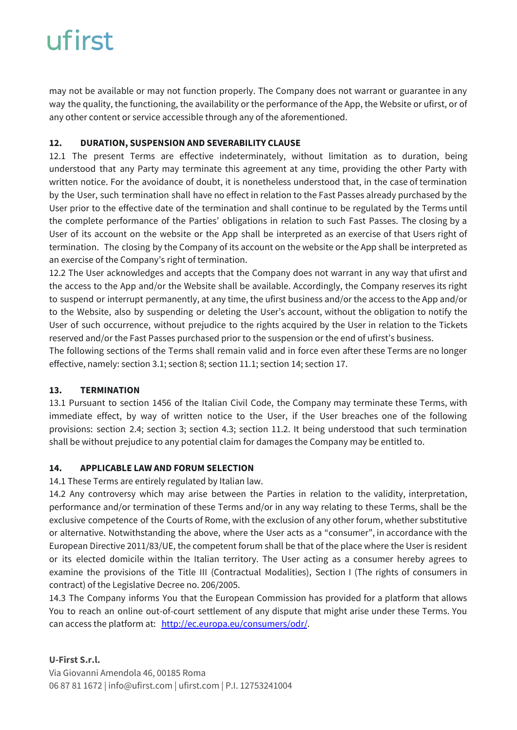may not be available or may not function properly. The Company does not warrant or guarantee in any way the quality, the functioning, the availability or the performance of the App, the Website or ufirst, or of any other content or service accessible through any of the aforementioned.

### **12. DURATION, SUSPENSION AND SEVERABILITY CLAUSE**

12.1 The present Terms are effective indeterminately, without limitation as to duration, being understood that any Party may terminate this agreement at any time, providing the other Party with written notice. For the avoidance of doubt, it is nonetheless understood that, in the case of termination by the User, such termination shall have no effect in relation to the Fast Passes already purchased by the User prior to the effective date of the termination and shall continue to be regulated by the Terms until the complete performance of the Parties' obligations in relation to such Fast Passes. The closing by a User of its account on the website or the App shall be interpreted as an exercise of that Users right of termination. The closing by the Company of its account on the website or the App shall be interpreted as an exercise of the Company's right of termination.

12.2 The User acknowledges and accepts that the Company does not warrant in any way that ufirst and the access to the App and/or the Website shall be available. Accordingly, the Company reserves its right to suspend or interrupt permanently, at any time, the ufirst business and/or the access to the App and/or to the Website, also by suspending or deleting the User's account, without the obligation to notify the User of such occurrence, without prejudice to the rights acquired by the User in relation to the Tickets reserved and/or the Fast Passes purchased prior to the suspension or the end of ufirst's business.

The following sections of the Terms shall remain valid and in force even after these Terms are no longer effective, namely: section 3.1; section 8; section 11.1; section 14; section 17.

#### **13. TERMINATION**

13.1 Pursuant to section 1456 of the Italian Civil Code, the Company may terminate these Terms, with immediate effect, by way of written notice to the User, if the User breaches one of the following provisions: section 2.4; section 3; section 4.3; section 11.2. It being understood that such termination shall be without prejudice to any potential claim for damages the Company may be entitled to.

### **14. APPLICABLE LAW AND FORUM SELECTION**

14.1 These Terms are entirely regulated by Italian law.

14.2 Any controversy which may arise between the Parties in relation to the validity, interpretation, performance and/or termination of these Terms and/or in any way relating to these Terms, shall be the exclusive competence of the Courts of Rome, with the exclusion of any other forum, whether substitutive or alternative. Notwithstanding the above, where the User acts as a "consumer", in accordance with the European Directive 2011/83/UE, the competent forum shall be that of the place where the User is resident or its elected domicile within the Italian territory. The User acting as a consumer hereby agrees to examine the provisions of the Title III (Contractual Modalities), Section I (The rights of consumers in contract) of the Legislative Decree no. 206/2005.

14.3 The Company informs You that the European Commission has provided for a platform that allows You to reach an online out-of-court settlement of any dispute that might arise under these Terms. You can access the platform at: <http://ec.europa.eu/consumers/odr/>.

### **U-First S.r.l.**